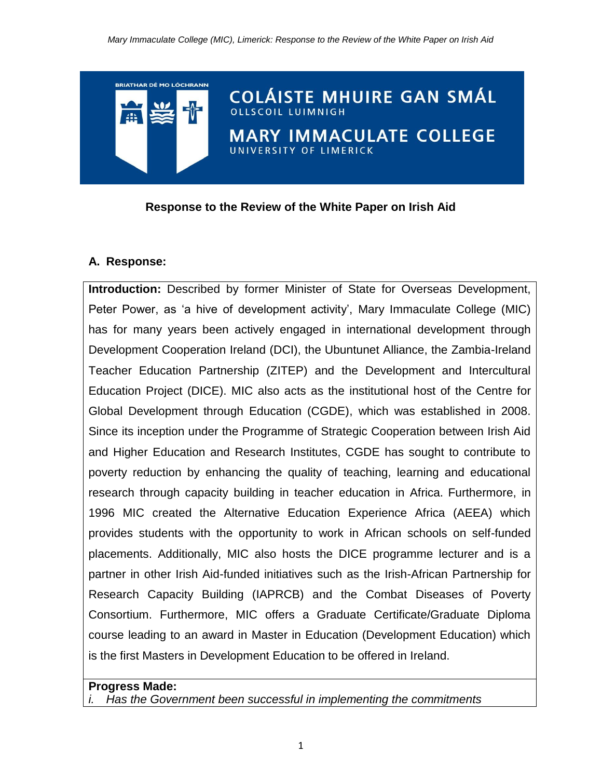**COLÁISTE MHUIRE GAN SMÁL** 

ARY IMMACULATE COLLEGE

**Response to the Review of the White Paper on Irish Aid**

**ERSITY OF LIMERICK** 

# **A. Response:**

**BRIATHAR DÉ MO LÓCHRANN** 

**Introduction:** Described by former Minister of State for Overseas Development, Peter Power, as 'a hive of development activity', Mary Immaculate College (MIC) has for many years been actively engaged in international development through Development Cooperation Ireland (DCI), the Ubuntunet Alliance, the Zambia-Ireland Teacher Education Partnership (ZITEP) and the Development and Intercultural Education Project (DICE). MIC also acts as the institutional host of the Centre for Global Development through Education (CGDE), which was established in 2008. Since its inception under the Programme of Strategic Cooperation between Irish Aid and Higher Education and Research Institutes, CGDE has sought to contribute to poverty reduction by enhancing the quality of teaching, learning and educational research through capacity building in teacher education in Africa. Furthermore, in 1996 MIC created the Alternative Education Experience Africa (AEEA) which provides students with the opportunity to work in African schools on self-funded placements. Additionally, MIC also hosts the DICE programme lecturer and is a partner in other Irish Aid-funded initiatives such as the Irish-African Partnership for Research Capacity Building (IAPRCB) and the Combat Diseases of Poverty Consortium. Furthermore, MIC offers a Graduate Certificate/Graduate Diploma course leading to an award in Master in Education (Development Education) which is the first Masters in Development Education to be offered in Ireland.

#### **Progress Made:**

*i. Has the Government been successful in implementing the commitments*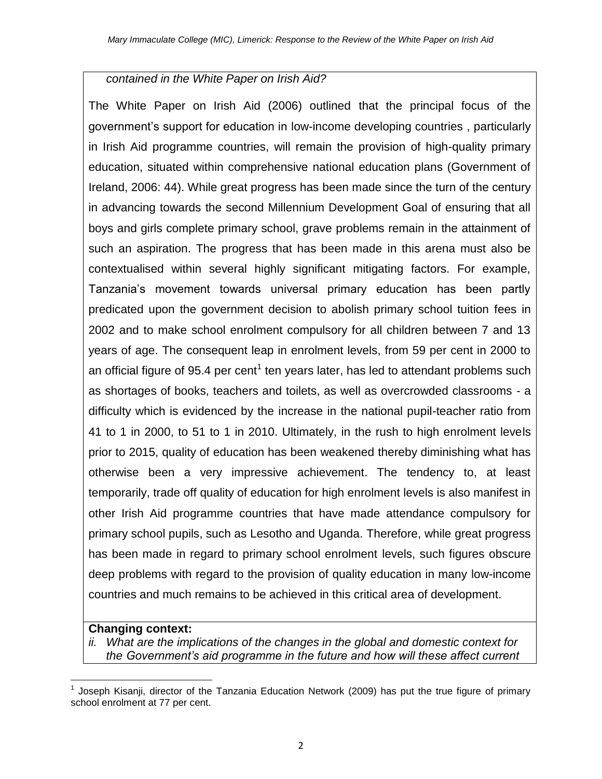# *contained in the White Paper on Irish Aid?*

The White Paper on Irish Aid (2006) outlined that the principal focus of the government's support for education in low-income developing countries , particularly in Irish Aid programme countries, will remain the provision of high-quality primary education, situated within comprehensive national education plans (Government of Ireland, 2006: 44). While great progress has been made since the turn of the century in advancing towards the second Millennium Development Goal of ensuring that all boys and girls complete primary school, grave problems remain in the attainment of such an aspiration. The progress that has been made in this arena must also be contextualised within several highly significant mitigating factors. For example, Tanzania's movement towards universal primary education has been partly predicated upon the government decision to abolish primary school tuition fees in 2002 and to make school enrolment compulsory for all children between 7 and 13 years of age. The consequent leap in enrolment levels, from 59 per cent in 2000 to an official figure of 95.4 per cent<sup>1</sup> ten years later, has led to attendant problems such as shortages of books, teachers and toilets, as well as overcrowded classrooms - a difficulty which is evidenced by the increase in the national pupil-teacher ratio from 41 to 1 in 2000, to 51 to 1 in 2010. Ultimately, in the rush to high enrolment levels prior to 2015, quality of education has been weakened thereby diminishing what has otherwise been a very impressive achievement. The tendency to, at least temporarily, trade off quality of education for high enrolment levels is also manifest in other Irish Aid programme countries that have made attendance compulsory for primary school pupils, such as Lesotho and Uganda. Therefore, while great progress has been made in regard to primary school enrolment levels, such figures obscure deep problems with regard to the provision of quality education in many low-income countries and much remains to be achieved in this critical area of development.

### **Changing context:**

*ii. What are the implications of the changes in the global and domestic context for the Government's aid programme in the future and how will these affect current* 

 $\overline{\phantom{a}}$ 1 Joseph Kisanji, director of the Tanzania Education Network (2009) has put the true figure of primary school enrolment at 77 per cent.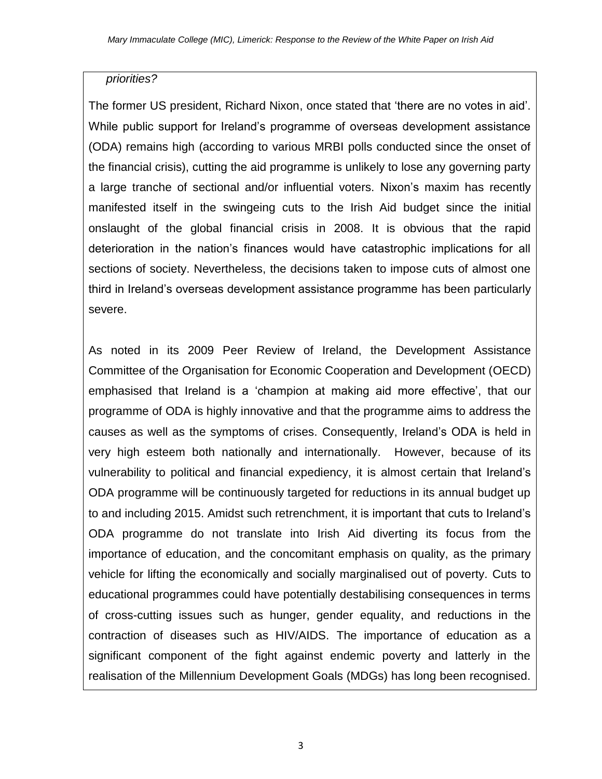# *priorities?*

The former US president, Richard Nixon, once stated that 'there are no votes in aid'. While public support for Ireland's programme of overseas development assistance (ODA) remains high (according to various MRBI polls conducted since the onset of the financial crisis), cutting the aid programme is unlikely to lose any governing party a large tranche of sectional and/or influential voters. Nixon's maxim has recently manifested itself in the swingeing cuts to the Irish Aid budget since the initial onslaught of the global financial crisis in 2008. It is obvious that the rapid deterioration in the nation's finances would have catastrophic implications for all sections of society. Nevertheless, the decisions taken to impose cuts of almost one third in Ireland's overseas development assistance programme has been particularly severe.

As noted in its 2009 Peer Review of Ireland, the Development Assistance Committee of the Organisation for Economic Cooperation and Development (OECD) emphasised that Ireland is a 'champion at making aid more effective', that our programme of ODA is highly innovative and that the programme aims to address the causes as well as the symptoms of crises. Consequently, Ireland's ODA is held in very high esteem both nationally and internationally. However, because of its vulnerability to political and financial expediency, it is almost certain that Ireland's ODA programme will be continuously targeted for reductions in its annual budget up to and including 2015. Amidst such retrenchment, it is important that cuts to Ireland's ODA programme do not translate into Irish Aid diverting its focus from the importance of education, and the concomitant emphasis on quality, as the primary vehicle for lifting the economically and socially marginalised out of poverty. Cuts to educational programmes could have potentially destabilising consequences in terms of cross-cutting issues such as hunger, gender equality, and reductions in the contraction of diseases such as HIV/AIDS. The importance of education as a significant component of the fight against endemic poverty and latterly in the realisation of the Millennium Development Goals (MDGs) has long been recognised.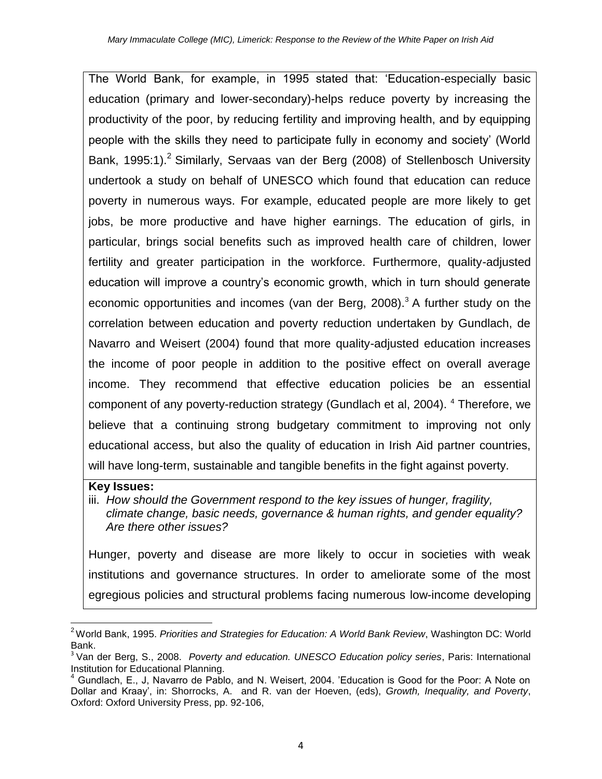The World Bank, for example, in 1995 stated that: 'Education-especially basic education (primary and lower-secondary)-helps reduce poverty by increasing the productivity of the poor, by reducing fertility and improving health, and by equipping people with the skills they need to participate fully in economy and society' (World Bank, 1995:1).<sup>2</sup> Similarly, Servaas van der Berg (2008) of Stellenbosch University undertook a study on behalf of UNESCO which found that education can reduce poverty in numerous ways. For example, educated people are more likely to get jobs, be more productive and have higher earnings. The education of girls, in particular, brings social benefits such as improved health care of children, lower fertility and greater participation in the workforce. Furthermore, quality-adjusted education will improve a country's economic growth, which in turn should generate economic opportunities and incomes (van der Berg,  $2008$ ).<sup>3</sup> A further study on the correlation between education and poverty reduction undertaken by Gundlach, de Navarro and Weisert (2004) found that more quality-adjusted education increases the income of poor people in addition to the positive effect on overall average income. They recommend that effective education policies be an essential component of any poverty-reduction strategy (Gundlach et al, 2004). <sup>4</sup> Therefore, we believe that a continuing strong budgetary commitment to improving not only educational access, but also the quality of education in Irish Aid partner countries, will have long-term, sustainable and tangible benefits in the fight against poverty.

#### **Key Issues:**

iii. *How should the Government respond to the key issues of hunger, fragility, climate change, basic needs, governance & human rights, and gender equality? Are there other issues?*

Hunger, poverty and disease are more likely to occur in societies with weak institutions and governance structures. In order to ameliorate some of the most egregious policies and structural problems facing numerous low-income developing

 $\overline{\phantom{a}}$ <sup>2</sup>World Bank, 1995. *Priorities and Strategies for Education: A World Bank Review*, Washington DC: World Bank.

<sup>3</sup> Van der Berg, S., 2008. *Poverty and education. UNESCO Education policy series*, Paris: International Institution for Educational Planning.

 $<sup>4</sup>$  Gundlach, E., J, Navarro de Pablo, and N. Weisert, 2004. 'Education is Good for the Poor: A Note on</sup> Dollar and Kraay', in: Shorrocks, A. and R. van der Hoeven, (eds), *Growth, Inequality, and Poverty*, Oxford: Oxford University Press, pp. 92-106,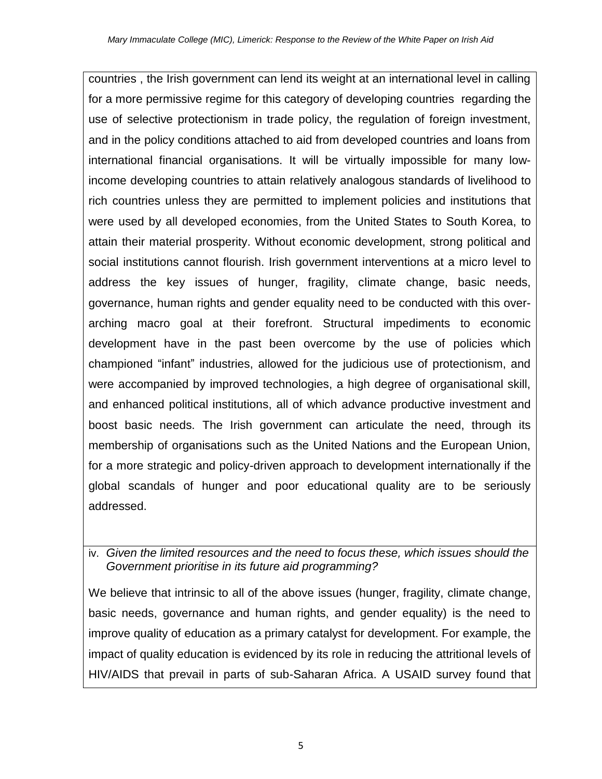countries , the Irish government can lend its weight at an international level in calling for a more permissive regime for this category of developing countries regarding the use of selective protectionism in trade policy, the regulation of foreign investment, and in the policy conditions attached to aid from developed countries and loans from international financial organisations. It will be virtually impossible for many lowincome developing countries to attain relatively analogous standards of livelihood to rich countries unless they are permitted to implement policies and institutions that were used by all developed economies, from the United States to South Korea, to attain their material prosperity. Without economic development, strong political and social institutions cannot flourish. Irish government interventions at a micro level to address the key issues of hunger, fragility, climate change, basic needs, governance, human rights and gender equality need to be conducted with this overarching macro goal at their forefront. Structural impediments to economic development have in the past been overcome by the use of policies which championed "infant" industries, allowed for the judicious use of protectionism, and were accompanied by improved technologies, a high degree of organisational skill, and enhanced political institutions, all of which advance productive investment and boost basic needs. The Irish government can articulate the need, through its membership of organisations such as the United Nations and the European Union, for a more strategic and policy-driven approach to development internationally if the global scandals of hunger and poor educational quality are to be seriously addressed.

# iv. *Given the limited resources and the need to focus these, which issues should the Government prioritise in its future aid programming?*

We believe that intrinsic to all of the above issues (hunger, fragility, climate change, basic needs, governance and human rights, and gender equality) is the need to improve quality of education as a primary catalyst for development. For example, the impact of quality education is evidenced by its role in reducing the attritional levels of HIV/AIDS that prevail in parts of sub-Saharan Africa. A USAID survey found that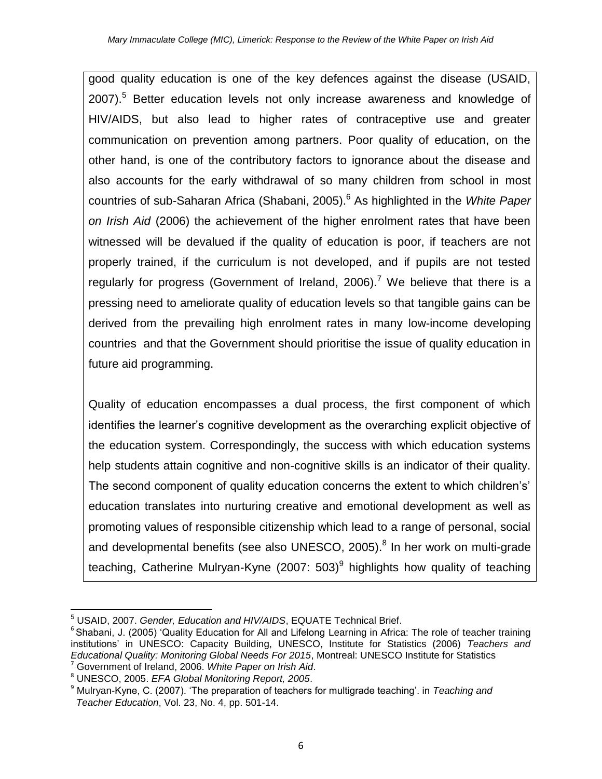good quality education is one of the key defences against the disease (USAID, 2007).<sup>5</sup> Better education levels not only increase awareness and knowledge of HIV/AIDS, but also lead to higher rates of contraceptive use and greater communication on prevention among partners. Poor quality of education, on the other hand, is one of the contributory factors to ignorance about the disease and also accounts for the early withdrawal of so many children from school in most countries of sub-Saharan Africa (Shabani, 2005).<sup>6</sup> As highlighted in the *White Paper on Irish Aid* (2006) the achievement of the higher enrolment rates that have been witnessed will be devalued if the quality of education is poor, if teachers are not properly trained, if the curriculum is not developed, and if pupils are not tested regularly for progress (Government of Ireland, 2006).<sup>7</sup> We believe that there is a pressing need to ameliorate quality of education levels so that tangible gains can be derived from the prevailing high enrolment rates in many low-income developing countries and that the Government should prioritise the issue of quality education in future aid programming.

Quality of education encompasses a dual process, the first component of which identifies the learner's cognitive development as the overarching explicit objective of the education system. Correspondingly, the success with which education systems help students attain cognitive and non-cognitive skills is an indicator of their quality. The second component of quality education concerns the extent to which children's' education translates into nurturing creative and emotional development as well as promoting values of responsible citizenship which lead to a range of personal, social and developmental benefits (see also UNESCO, 2005).<sup>8</sup> In her work on multi-grade teaching, Catherine Mulryan-Kyne (2007: 503) $^9$  highlights how quality of teaching

 $\overline{\phantom{a}}$ <sup>5</sup> USAID, 2007. *Gender, Education and HIV/AIDS*, EQUATE Technical Brief.

<sup>&</sup>lt;sup>6</sup> Shabani, J. (2005) 'Quality Education for All and Lifelong Learning in Africa: The role of teacher training institutions' in UNESCO: Capacity Building, UNESCO, Institute for Statistics (2006) *Teachers and Educational Quality: Monitoring Global Needs For 2015*, Montreal: UNESCO Institute for Statistics <sup>7</sup> Government of Ireland, 2006. *White Paper on Irish Aid*.

<sup>8</sup> UNESCO, 2005. *EFA Global Monitoring Report, 2005*.

<sup>9</sup> Mulryan-Kyne, C. (2007). 'The preparation of teachers for multigrade teaching'. in *Teaching and Teacher Education*, Vol. 23, No. 4, pp. 501-14.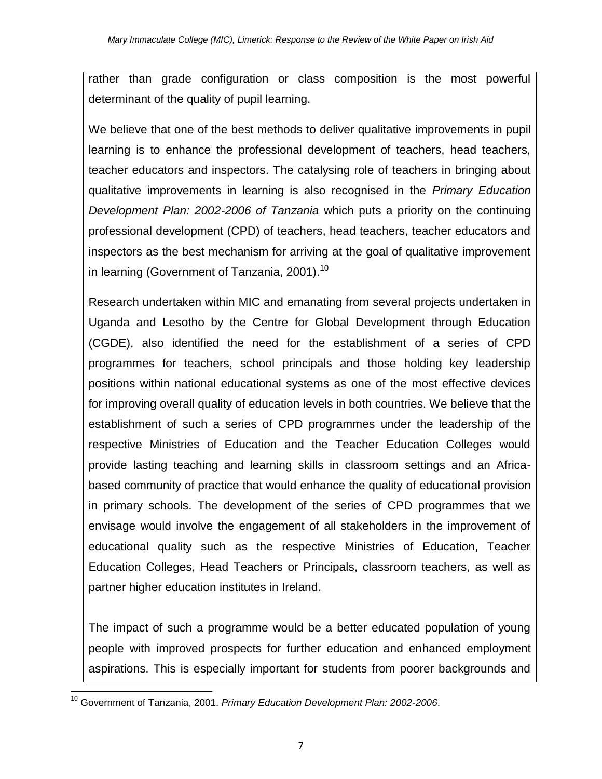rather than grade configuration or class composition is the most powerful determinant of the quality of pupil learning.

We believe that one of the best methods to deliver qualitative improvements in pupil learning is to enhance the professional development of teachers, head teachers, teacher educators and inspectors. The catalysing role of teachers in bringing about qualitative improvements in learning is also recognised in the *Primary Education Development Plan: 2002-2006 of Tanzania* which puts a priority on the continuing professional development (CPD) of teachers, head teachers, teacher educators and inspectors as the best mechanism for arriving at the goal of qualitative improvement in learning (Government of Tanzania, 2001).<sup>10</sup>

Research undertaken within MIC and emanating from several projects undertaken in Uganda and Lesotho by the Centre for Global Development through Education (CGDE), also identified the need for the establishment of a series of CPD programmes for teachers, school principals and those holding key leadership positions within national educational systems as one of the most effective devices for improving overall quality of education levels in both countries. We believe that the establishment of such a series of CPD programmes under the leadership of the respective Ministries of Education and the Teacher Education Colleges would provide lasting teaching and learning skills in classroom settings and an Africabased community of practice that would enhance the quality of educational provision in primary schools. The development of the series of CPD programmes that we envisage would involve the engagement of all stakeholders in the improvement of educational quality such as the respective Ministries of Education, Teacher Education Colleges, Head Teachers or Principals, classroom teachers, as well as partner higher education institutes in Ireland.

The impact of such a programme would be a better educated population of young people with improved prospects for further education and enhanced employment aspirations. This is especially important for students from poorer backgrounds and

 $\overline{\phantom{a}}$ <sup>10</sup> Government of Tanzania, 2001. *Primary Education Development Plan: 2002-2006*.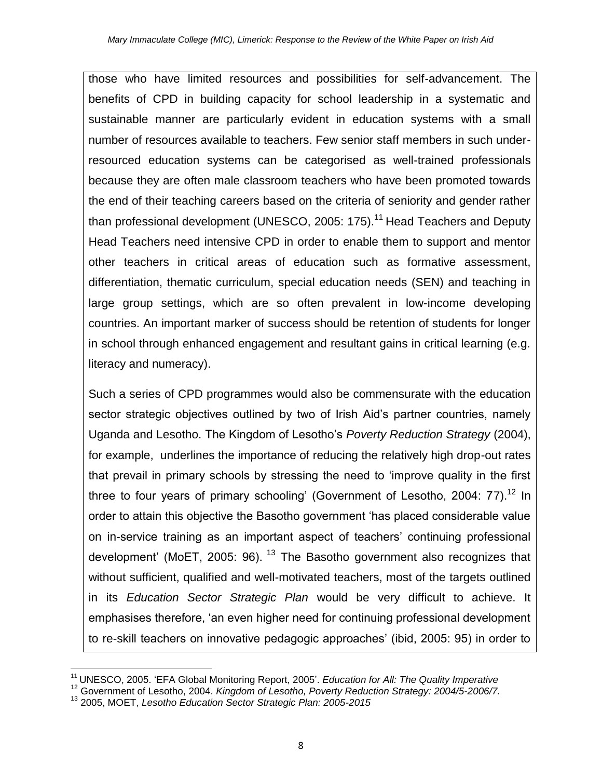those who have limited resources and possibilities for self-advancement. The benefits of CPD in building capacity for school leadership in a systematic and sustainable manner are particularly evident in education systems with a small number of resources available to teachers. Few senior staff members in such underresourced education systems can be categorised as well-trained professionals because they are often male classroom teachers who have been promoted towards the end of their teaching careers based on the criteria of seniority and gender rather than professional development (UNESCO, 2005: 175).<sup>11</sup> Head Teachers and Deputy Head Teachers need intensive CPD in order to enable them to support and mentor other teachers in critical areas of education such as formative assessment, differentiation, thematic curriculum, special education needs (SEN) and teaching in large group settings, which are so often prevalent in low-income developing countries. An important marker of success should be retention of students for longer in school through enhanced engagement and resultant gains in critical learning (e.g. literacy and numeracy).

Such a series of CPD programmes would also be commensurate with the education sector strategic objectives outlined by two of Irish Aid's partner countries, namely Uganda and Lesotho. The Kingdom of Lesotho's *Poverty Reduction Strategy* (2004), for example, underlines the importance of reducing the relatively high drop-out rates that prevail in primary schools by stressing the need to 'improve quality in the first three to four years of primary schooling' (Government of Lesotho, 2004:  $77$ ).<sup>12</sup> In order to attain this objective the Basotho government 'has placed considerable value on in-service training as an important aspect of teachers' continuing professional development' (MoET, 2005: 96).  $13$  The Basotho government also recognizes that without sufficient, qualified and well-motivated teachers, most of the targets outlined in its *Education Sector Strategic Plan* would be very difficult to achieve. It emphasises therefore, 'an even higher need for continuing professional development to re-skill teachers on innovative pedagogic approaches' (ibid, 2005: 95) in order to

 $\overline{\phantom{a}}$ 

<sup>&</sup>lt;sup>11</sup> UNESCO, 2005. 'EFA Global Monitoring Report, 2005'. *Education for All: The Quality Imperative* 

<sup>12</sup> Government of Lesotho, 2004. *Kingdom of Lesotho, Poverty Reduction Strategy: 2004/5-2006/7.*

<sup>13</sup> 2005, MOET, *Lesotho Education Sector Strategic Plan: 2005-2015*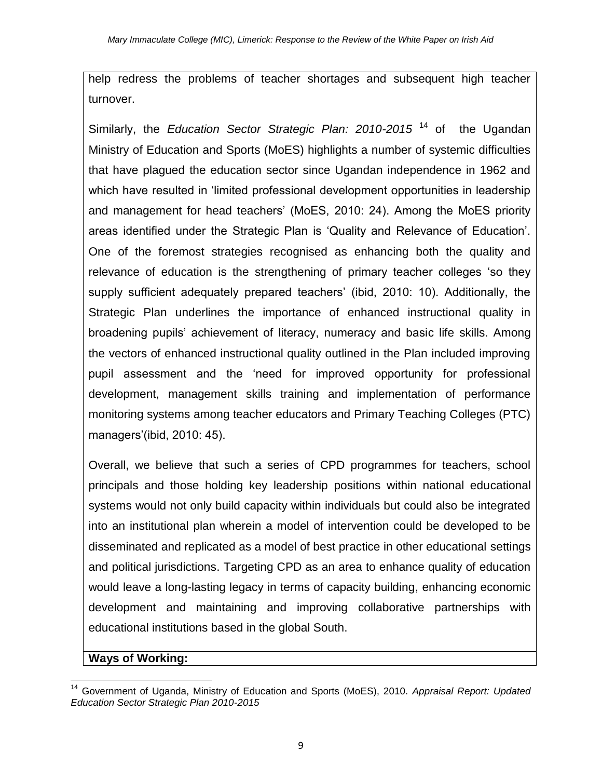help redress the problems of teacher shortages and subsequent high teacher turnover.

Similarly, the *Education Sector Strategic Plan: 2010-2015* <sup>14</sup> of the Ugandan Ministry of Education and Sports (MoES) highlights a number of systemic difficulties that have plagued the education sector since Ugandan independence in 1962 and which have resulted in 'limited professional development opportunities in leadership and management for head teachers' (MoES, 2010: 24). Among the MoES priority areas identified under the Strategic Plan is 'Quality and Relevance of Education'. One of the foremost strategies recognised as enhancing both the quality and relevance of education is the strengthening of primary teacher colleges 'so they supply sufficient adequately prepared teachers' (ibid, 2010: 10). Additionally, the Strategic Plan underlines the importance of enhanced instructional quality in broadening pupils' achievement of literacy, numeracy and basic life skills. Among the vectors of enhanced instructional quality outlined in the Plan included improving pupil assessment and the 'need for improved opportunity for professional development, management skills training and implementation of performance monitoring systems among teacher educators and Primary Teaching Colleges (PTC) managers'(ibid, 2010: 45).

Overall, we believe that such a series of CPD programmes for teachers, school principals and those holding key leadership positions within national educational systems would not only build capacity within individuals but could also be integrated into an institutional plan wherein a model of intervention could be developed to be disseminated and replicated as a model of best practice in other educational settings and political jurisdictions. Targeting CPD as an area to enhance quality of education would leave a long-lasting legacy in terms of capacity building, enhancing economic development and maintaining and improving collaborative partnerships with educational institutions based in the global South.

# **Ways of Working:**

 $\overline{\phantom{a}}$ <sup>14</sup> Government of Uganda, Ministry of Education and Sports (MoES), 2010. *Appraisal Report: Updated Education Sector Strategic Plan 2010-2015*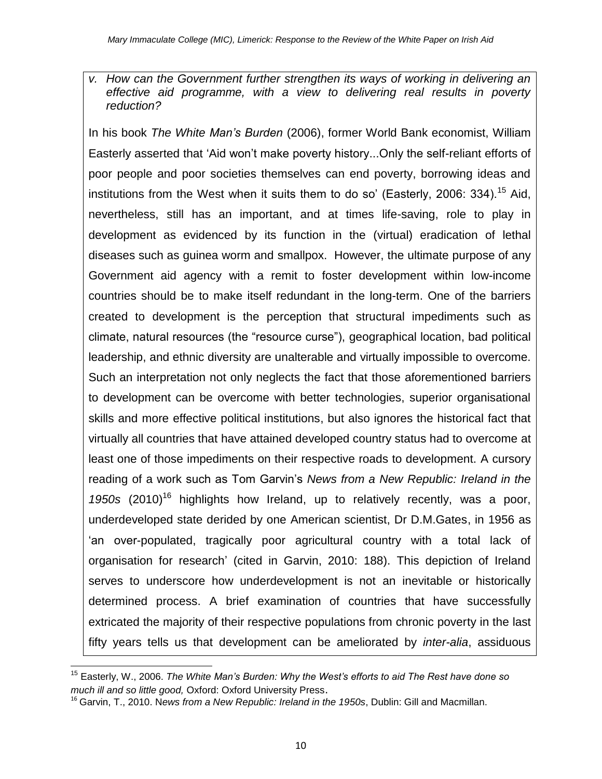*v. How can the Government further strengthen its ways of working in delivering an effective aid programme, with a view to delivering real results in poverty reduction?*

In his book *The White Man's Burden* (2006), former World Bank economist, William Easterly asserted that 'Aid won't make poverty history...Only the self-reliant efforts of poor people and poor societies themselves can end poverty, borrowing ideas and institutions from the West when it suits them to do so' (Easterly, 2006: 334).<sup>15</sup> Aid, nevertheless, still has an important, and at times life-saving, role to play in development as evidenced by its function in the (virtual) eradication of lethal diseases such as guinea worm and smallpox. However, the ultimate purpose of any Government aid agency with a remit to foster development within low-income countries should be to make itself redundant in the long-term. One of the barriers created to development is the perception that structural impediments such as climate, natural resources (the "resource curse"), geographical location, bad political leadership, and ethnic diversity are unalterable and virtually impossible to overcome. Such an interpretation not only neglects the fact that those aforementioned barriers to development can be overcome with better technologies, superior organisational skills and more effective political institutions, but also ignores the historical fact that virtually all countries that have attained developed country status had to overcome at least one of those impediments on their respective roads to development. A cursory reading of a work such as Tom Garvin's *News from a New Republic: Ireland in the*  1950s (2010)<sup>16</sup> highlights how Ireland, up to relatively recently, was a poor, underdeveloped state derided by one American scientist, Dr D.M.Gates, in 1956 as 'an over-populated, tragically poor agricultural country with a total lack of organisation for research' (cited in Garvin, 2010: 188). This depiction of Ireland serves to underscore how underdevelopment is not an inevitable or historically determined process. A brief examination of countries that have successfully extricated the majority of their respective populations from chronic poverty in the last fifty years tells us that development can be ameliorated by *inter-alia*, assiduous

 $\overline{\phantom{a}}$ <sup>15</sup> Easterly, W., 2006. *The White Man's Burden: Why the West's efforts to aid The Rest have done so much ill and so little good,* Oxford: Oxford University Press.

<sup>16</sup> Garvin, T., 2010. N*ews from a New Republic: Ireland in the 1950s*, Dublin: Gill and Macmillan.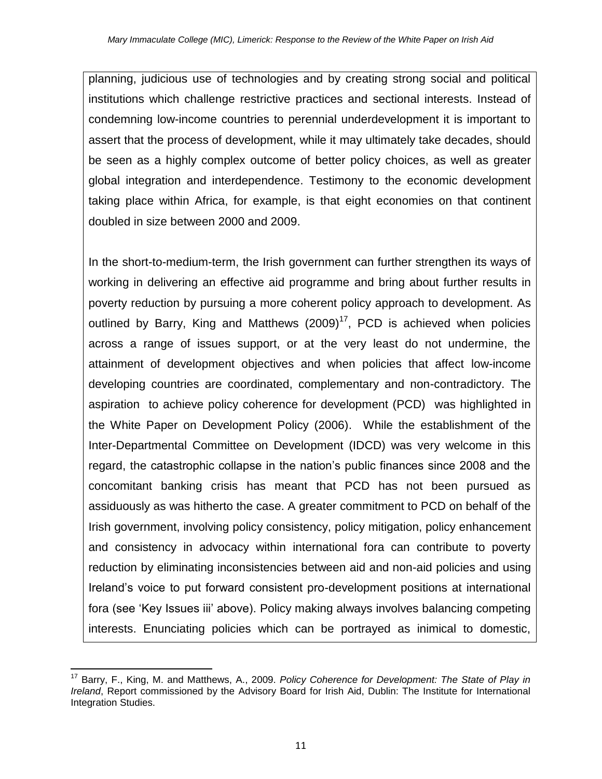planning, judicious use of technologies and by creating strong social and political institutions which challenge restrictive practices and sectional interests. Instead of condemning low-income countries to perennial underdevelopment it is important to assert that the process of development, while it may ultimately take decades, should be seen as a highly complex outcome of better policy choices, as well as greater global integration and interdependence. Testimony to the economic development taking place within Africa, for example, is that eight economies on that continent doubled in size between 2000 and 2009.

In the short-to-medium-term, the Irish government can further strengthen its ways of working in delivering an effective aid programme and bring about further results in poverty reduction by pursuing a more coherent policy approach to development. As outlined by Barry, King and Matthews  $(2009)^{17}$ , PCD is achieved when policies across a range of issues support, or at the very least do not undermine, the attainment of development objectives and when policies that affect low-income developing countries are coordinated, complementary and non-contradictory. The aspiration to achieve policy coherence for development (PCD) was highlighted in the White Paper on Development Policy (2006). While the establishment of the Inter-Departmental Committee on Development (IDCD) was very welcome in this regard, the catastrophic collapse in the nation's public finances since 2008 and the concomitant banking crisis has meant that PCD has not been pursued as assiduously as was hitherto the case. A greater commitment to PCD on behalf of the Irish government, involving policy consistency, policy mitigation, policy enhancement and consistency in advocacy within international fora can contribute to poverty reduction by eliminating inconsistencies between aid and non-aid policies and using Ireland's voice to put forward consistent pro-development positions at international fora (see 'Key Issues iii' above). Policy making always involves balancing competing interests. Enunciating policies which can be portrayed as inimical to domestic,

 $\overline{\phantom{a}}$ <sup>17</sup> Barry, F., King, M. and Matthews, A., 2009. *Policy Coherence for Development: The State of Play in Ireland*, Report commissioned by the Advisory Board for Irish Aid, Dublin: The Institute for International Integration Studies.